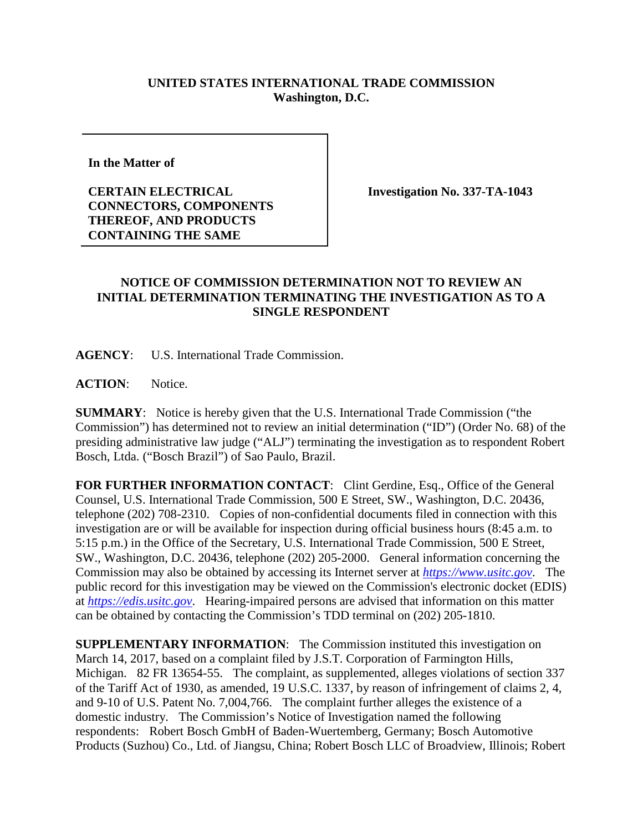## **UNITED STATES INTERNATIONAL TRADE COMMISSION Washington, D.C.**

**In the Matter of** 

**CERTAIN ELECTRICAL CONNECTORS, COMPONENTS THEREOF, AND PRODUCTS CONTAINING THE SAME**

**Investigation No. 337-TA-1043**

## **NOTICE OF COMMISSION DETERMINATION NOT TO REVIEW AN INITIAL DETERMINATION TERMINATING THE INVESTIGATION AS TO A SINGLE RESPONDENT**

**AGENCY**: U.S. International Trade Commission.

**ACTION**: Notice.

**SUMMARY**: Notice is hereby given that the U.S. International Trade Commission ("the Commission") has determined not to review an initial determination ("ID") (Order No. 68) of the presiding administrative law judge ("ALJ") terminating the investigation as to respondent Robert Bosch, Ltda. ("Bosch Brazil") of Sao Paulo, Brazil.

FOR FURTHER INFORMATION CONTACT: Clint Gerdine, Esq., Office of the General Counsel, U.S. International Trade Commission, 500 E Street, SW., Washington, D.C. 20436, telephone (202) 708-2310. Copies of non-confidential documents filed in connection with this investigation are or will be available for inspection during official business hours (8:45 a.m. to 5:15 p.m.) in the Office of the Secretary, U.S. International Trade Commission, 500 E Street, SW., Washington, D.C. 20436, telephone (202) 205-2000. General information concerning the Commission may also be obtained by accessing its Internet server at *[https://www.usitc.gov](https://www.usitc.gov/)*. The public record for this investigation may be viewed on the Commission's electronic docket (EDIS) at *[https://edis.usitc.gov](https://edis.usitc.gov/)*. Hearing-impaired persons are advised that information on this matter can be obtained by contacting the Commission's TDD terminal on (202) 205-1810.

**SUPPLEMENTARY INFORMATION:** The Commission instituted this investigation on March 14, 2017, based on a complaint filed by J.S.T. Corporation of Farmington Hills, Michigan. 82 FR 13654-55. The complaint, as supplemented, alleges violations of section 337 of the Tariff Act of 1930, as amended, 19 U.S.C. 1337, by reason of infringement of claims 2, 4, and 9-10 of U.S. Patent No. 7,004,766. The complaint further alleges the existence of a domestic industry. The Commission's Notice of Investigation named the following respondents: Robert Bosch GmbH of Baden-Wuertemberg, Germany; Bosch Automotive Products (Suzhou) Co., Ltd. of Jiangsu, China; Robert Bosch LLC of Broadview, Illinois; Robert